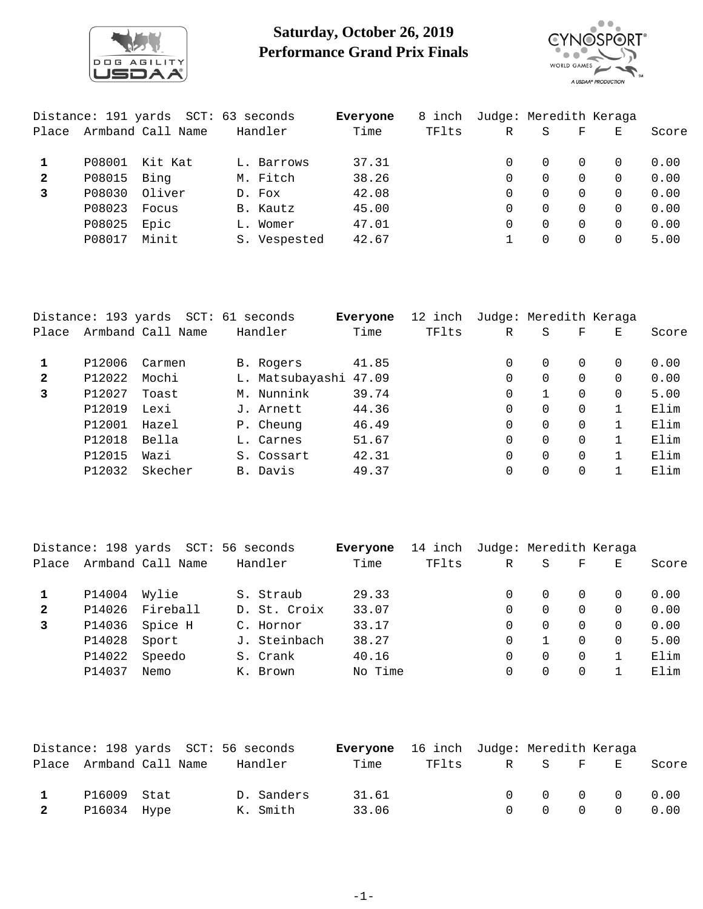

## **Saturday, October 26, 2019 Performance Grand Prix Finals**



|              |        | Distance: 191 yards SCT: 63 seconds |              | Everyone | 8 inch | Judge: Meredith Keraga |          |          |          |       |
|--------------|--------|-------------------------------------|--------------|----------|--------|------------------------|----------|----------|----------|-------|
| Place        |        | Armband Call Name                   | Handler      | Time     | TFlts  | R                      | S        | F        | E.       | Score |
|              | P08001 | Kit Kat                             | L. Barrows   | 37.31    |        |                        | $\Omega$ | $\Omega$ | $\Omega$ | 0.00  |
| $\mathbf{2}$ | P08015 | Bing                                | M. Fitch     | 38.26    |        | 0                      | 0        | $\Omega$ | $\Omega$ | 0.00  |
| 3            | P08030 | Oliver                              | D. Fox       | 42.08    |        | 0                      | $\Omega$ | $\Omega$ | $\Omega$ | 0.00  |
|              | P08023 | Focus                               | B. Kautz     | 45.00    |        | 0                      | $\Omega$ | $\Omega$ | $\Omega$ | 0.00  |
|              | P08025 | Epic                                | L. Womer     | 47.01    |        | 0                      | $\Omega$ | $\Omega$ | $\Omega$ | 0.00  |
|              | P08017 | Minit                               | S. Vespested | 42.67    |        |                        | 0        | 0        | 0        | 5.00  |
|              |        |                                     |              |          |        |                        |          |          |          |       |

|              | Distance: 193 yards | SCT: 61           | seconds         | Everyone | 12 inch | Judge: Meredith Keraga |          |          |   |       |
|--------------|---------------------|-------------------|-----------------|----------|---------|------------------------|----------|----------|---|-------|
| Place        |                     | Armband Call Name | Handler         | Time     | TFlts   | $\mathbb R$            | S        | F        | Е | Score |
| 1            | P12006              | Carmen            | B. Rogers       | 41.85    |         | 0                      | $\Omega$ | $\Omega$ | 0 | 0.00  |
| $\mathbf{2}$ | P12022              | Mochi             | L. Matsubayashi | 47.09    |         | 0                      | $\Omega$ | $\Omega$ | 0 | 0.00  |
| 3            | P12027              | Toast             | M. Nunnink      | 39.74    |         | $\Omega$               |          | $\Omega$ | 0 | 5.00  |
|              | P12019              | Lexi              | J. Arnett       | 44.36    |         | $\Omega$               | $\Omega$ | $\Omega$ |   | Elim  |
|              | P12001              | Hazel             | P. Cheung       | 46.49    |         | 0                      | $\Omega$ | $\Omega$ |   | Elim  |
|              | P12018              | Bella             | L. Carnes       | 51.67    |         | 0                      | $\Omega$ | $\Omega$ |   | Elim  |
|              | P12015              | Wazi              | S. Cossart      | 42.31    |         | 0                      | $\Omega$ | $\Omega$ |   | Elim  |
|              | P12032              | Skecher           | B. Davis        | 49.37    |         | 0                      |          | $\Omega$ |   | Elim  |

|              |              | Distance: 198 yards SCT: 56 seconds |              | Everyone | 14 inch | Judge: Meredith Keraga |          |          |          |       |
|--------------|--------------|-------------------------------------|--------------|----------|---------|------------------------|----------|----------|----------|-------|
| Place        |              | Armband Call Name                   | Handler      | Time     | TFlts   | R                      | S        | F        | E.       | Score |
|              | P14004 Wylie |                                     | S. Straub    | 29.33    |         | 0                      | 0        | $\Omega$ |          | 0.00  |
| $\mathbf{2}$ | P14026       | Fireball                            | D. St. Croix | 33.07    |         | 0                      |          | $\Omega$ |          | 0.00  |
| 3            |              | P14036 Spice H                      | C. Hornor    | 33.17    |         | 0                      | $\Omega$ | $\Omega$ |          | 0.00  |
|              | P14028       | Sport                               | J. Steinbach | 38.27    |         | $\Omega$               |          | $\Omega$ | $\Omega$ | 5.00  |
|              | P14022       | Speedo                              | S. Crank     | 40.16    |         | 0                      |          | $\Omega$ |          | Elim  |
|              | P14037       | Nemo                                | K. Brown     | No Time  |         | 0                      |          | $\Omega$ |          | Elim  |

|              |               |                         | Distance: 198 yards SCT: 56 seconds | <b>Everyone</b> 16 inch Judge: Meredith Keraga |               |  |                                                     |       |
|--------------|---------------|-------------------------|-------------------------------------|------------------------------------------------|---------------|--|-----------------------------------------------------|-------|
|              |               | Place Armband Call Name | Handler                             | Time                                           | TFlts R S F E |  |                                                     | Score |
| $\mathbf{1}$ | P16009 Stat   |                         | D. Sanders                          | 31.61                                          |               |  | $\begin{matrix} 0 & 0 & 0 & 0 & 0 & 0 \end{matrix}$ |       |
|              | 2 P16034 Hype |                         | K. Smith                            | 33.06                                          |               |  | $0 \t 0 \t 0 \t 0 \t 0.00$                          |       |